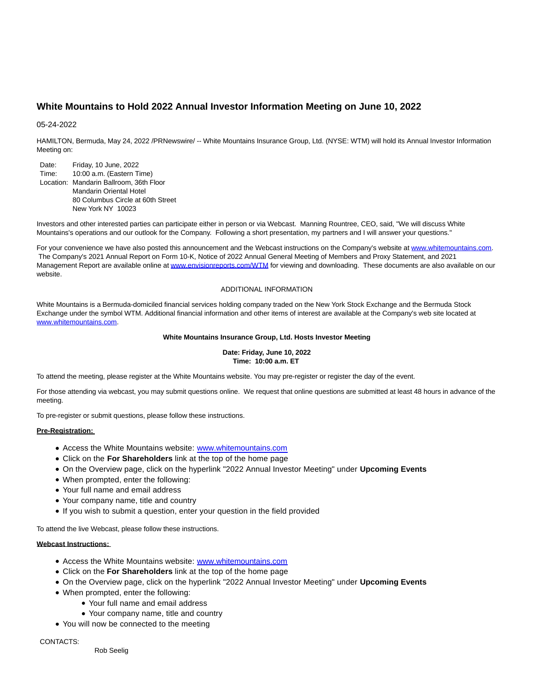# **White Mountains to Hold 2022 Annual Investor Information Meeting on June 10, 2022**

### 05-24-2022

HAMILTON, Bermuda, May 24, 2022 /PRNewswire/ -- White Mountains Insurance Group, Ltd. (NYSE: WTM) will hold its Annual Investor Information Meeting on:

Date: Friday, 10 June, 2022 Time: 10:00 a.m. (Eastern Time) Location: Mandarin Ballroom, 36th Floor Mandarin Oriental Hotel 80 Columbus Circle at 60th Street New York NY 10023

Investors and other interested parties can participate either in person or via Webcast. Manning Rountree, CEO, said, "We will discuss White Mountains's operations and our outlook for the Company. Following a short presentation, my partners and I will answer your questions."

For your convenience we have also posted this announcement and the Webcast instructions on the Company's website at [www.whitemountains.com.](https://c212.net/c/link/?t=0&l=en&o=3546165-1&h=2668718051&u=https%3A%2F%2Fwww.whitemountains.com%2F&a=www.whitemountains.com) The Company's 2021 Annual Report on Form 10-K, Notice of 2022 Annual General Meeting of Members and Proxy Statement, and 2021 Management Report are available online at [www.envisionreports.com/WTM f](https://c212.net/c/link/?t=0&l=en&o=3546165-1&h=1085143626&u=https%3A%2F%2Fwww.envisionreports.com%2FWTM%2F2022%2F34019JA22E%2Fdefault.htm%3Fvoting%3Dtrue&a=www.envisionreports.com%2FWTM)or viewing and downloading. These documents are also available on our website.

#### ADDITIONAL INFORMATION

White Mountains is a Bermuda-domiciled financial services holding company traded on the New York Stock Exchange and the Bermuda Stock Exchange under the symbol WTM. Additional financial information and other items of interest are available at the Company's web site located at [www.whitemountains.com.](https://c212.net/c/link/?t=0&l=en&o=3546165-1&h=2668718051&u=https%3A%2F%2Fwww.whitemountains.com%2F&a=www.whitemountains.com)

## **White Mountains Insurance Group, Ltd. Hosts Investor Meeting**

### **Date: Friday, June 10, 2022 Time: 10:00 a.m. ET**

To attend the meeting, please register at the White Mountains website. You may pre-register or register the day of the event.

For those attending via webcast, you may submit questions online. We request that online questions are submitted at least 48 hours in advance of the meeting.

To pre-register or submit questions, please follow these instructions.

# **Pre-Registration:**

- Access the White Mountains website: [www.whitemountains.com](https://c212.net/c/link/?t=0&l=en&o=3546165-1&h=2668718051&u=https%3A%2F%2Fwww.whitemountains.com%2F&a=www.whitemountains.com)
- Click on the **For Shareholders** link at the top of the home page
- On the Overview page, click on the hyperlink "2022 Annual Investor Meeting" under **Upcoming Events**
- When prompted, enter the following:
- Your full name and email address
- Your company name, title and country
- If you wish to submit a question, enter your question in the field provided

To attend the live Webcast, please follow these instructions.

### **Webcast Instructions:**

- Access the White Mountains website: [www.whitemountains.com](https://c212.net/c/link/?t=0&l=en&o=3546165-1&h=2668718051&u=https%3A%2F%2Fwww.whitemountains.com%2F&a=www.whitemountains.com)
- Click on the **For Shareholders** link at the top of the home page
- On the Overview page, click on the hyperlink "2022 Annual Investor Meeting" under **Upcoming Events**
- When prompted, enter the following:
	- Your full name and email address
	- Your company name, title and country
- You will now be connected to the meeting

#### CONTACTS.